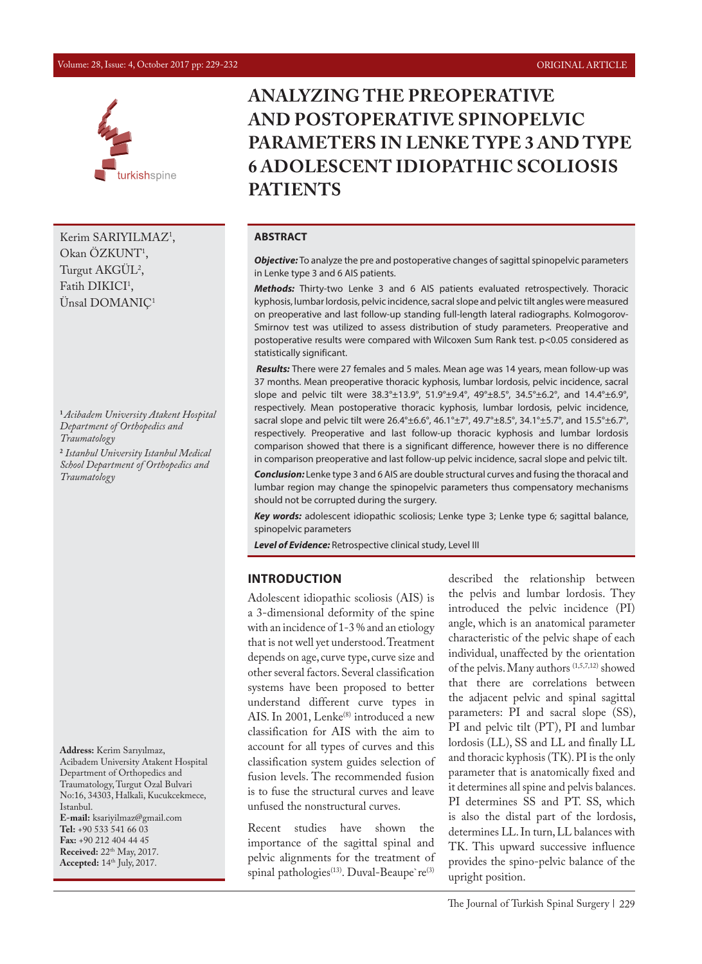#### Volume: 28, Issue: 4, October 2017 pp: 229-232 ORIGINAL ARTICLE



Kerim SARIYILMAZ<sup>1</sup>, Okan OZKUNT<sup>1</sup>, Turgut AKGUL<sup>2</sup>, Fatih  $DIKICI<sup>T</sup>$ , Ünsal DOMANIÇ1

**<sup>1</sup>***Acibadem University Atakent Hospital Department of Orthopedics and Traumatology*

**2**  *Istanbul University Istanbul Medical School Department of Orthopedics and Traumatology*

**Address:** Kerim Sarıyılmaz, Acibadem University Atakent Hospital Department of Orthopedics and Traumatology, Turgut Ozal Bulvari No:16, 34303, Halkali, Kucukcekmece, Istanbul. **E-mail:** ksariyilmaz@gmail.com **Tel:** +90 533 541 66 03 **Fax:** +90 212 404 44 45 **Received:** 22<sup>th</sup> May, 2017. **Accepted:** 14th July, 2017.

# **ANALYZING THE PREOPERATIVE AND POSTOPERATIVE SPINOPELVIC PARAMETERS IN LENKE TYPE 3 AND TYPE 6 ADOLESCENT IDIOPATHIC SCOLIOSIS PATIENTS**

# **ABSTRACT**

*Objective:* To analyze the pre and postoperative changes of sagittal spinopelvic parameters in Lenke type 3 and 6 AIS patients.

*Methods:* Thirty-two Lenke 3 and 6 AIS patients evaluated retrospectively. Thoracic kyphosis, lumbar lordosis, pelvic incidence, sacral slope and pelvic tilt angles were measured on preoperative and last follow-up standing full-length lateral radiographs. Kolmogorov-Smirnov test was utilized to assess distribution of study parameters. Preoperative and postoperative results were compared with Wilcoxen Sum Rank test. p<0.05 considered as statistically significant.

 *Results:* There were 27 females and 5 males. Mean age was 14 years, mean follow-up was 37 months. Mean preoperative thoracic kyphosis, lumbar lordosis, pelvic incidence, sacral slope and pelvic tilt were 38.3°±13.9°, 51.9°±9.4°, 49°±8.5°, 34.5°±6.2°, and 14.4°±6.9°, respectively. Mean postoperative thoracic kyphosis, lumbar lordosis, pelvic incidence, sacral slope and pelvic tilt were 26.4°±6.6°, 46.1°±7°, 49.7°±8.5°, 34.1°±5.7°, and 15.5°±6.7°, respectively. Preoperative and last follow-up thoracic kyphosis and lumbar lordosis comparison showed that there is a significant difference, however there is no difference in comparison preoperative and last follow-up pelvic incidence, sacral slope and pelvic tilt.

*Conclusion:* Lenke type 3 and 6 AIS are double structural curves and fusing the thoracal and lumbar region may change the spinopelvic parameters thus compensatory mechanisms should not be corrupted during the surgery.

*Key words:* adolescent idiopathic scoliosis; Lenke type 3; Lenke type 6; sagittal balance, spinopelvic parameters

*Level of Evidence:* Retrospective clinical study, Level III

### **INTRODUCTION**

Adolescent idiopathic scoliosis (AIS) is a 3-dimensional deformity of the spine with an incidence of 1-3 % and an etiology that is not well yet understood. Treatment depends on age, curve type, curve size and other several factors. Several classification systems have been proposed to better understand different curve types in AIS. In 2001, Lenke $^{(8)}$  introduced a new classification for AIS with the aim to account for all types of curves and this classification system guides selection of fusion levels. The recommended fusion is to fuse the structural curves and leave unfused the nonstructural curves.

Recent studies have shown the importance of the sagittal spinal and pelvic alignments for the treatment of spinal pathologies<sup>(13)</sup>. Duval-Beaupe're<sup>(3)</sup>

described the relationship between the pelvis and lumbar lordosis. They introduced the pelvic incidence (PI) angle, which is an anatomical parameter characteristic of the pelvic shape of each individual, unaffected by the orientation of the pelvis. Many authors <sup>(1,5,7,12)</sup> showed that there are correlations between the adjacent pelvic and spinal sagittal parameters: PI and sacral slope (SS), PI and pelvic tilt (PT), PI and lumbar lordosis (LL), SS and LL and finally LL and thoracic kyphosis (TK). PI is the only parameter that is anatomically fixed and it determines all spine and pelvis balances. PI determines SS and PT. SS, which is also the distal part of the lordosis, determines LL. In turn, LL balances with TK. This upward successive influence provides the spino-pelvic balance of the upright position.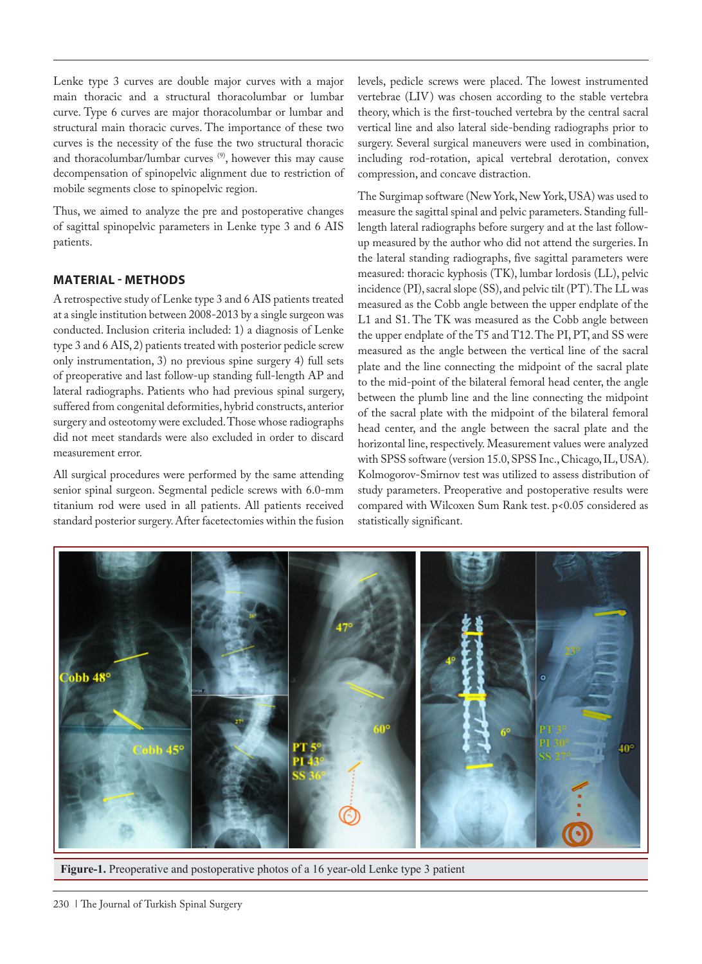Lenke type 3 curves are double major curves with a major main thoracic and a structural thoracolumbar or lumbar curve. Type 6 curves are major thoracolumbar or lumbar and structural main thoracic curves. The importance of these two curves is the necessity of the fuse the two structural thoracic and thoracolumbar/lumbar curves<sup>(9)</sup>, however this may cause decompensation of spinopelvic alignment due to restriction of mobile segments close to spinopelvic region.

Thus, we aimed to analyze the pre and postoperative changes of sagittal spinopelvic parameters in Lenke type 3 and 6 AIS patients.

# **MATERIAL - METHODS**

A retrospective study of Lenke type 3 and 6 AIS patients treated at a single institution between 2008-2013 by a single surgeon was conducted. Inclusion criteria included: 1) a diagnosis of Lenke type 3 and 6 AIS, 2) patients treated with posterior pedicle screw only instrumentation, 3) no previous spine surgery 4) full sets of preoperative and last follow-up standing full-length AP and lateral radiographs. Patients who had previous spinal surgery, suffered from congenital deformities, hybrid constructs, anterior surgery and osteotomy were excluded. Those whose radiographs did not meet standards were also excluded in order to discard measurement error.

All surgical procedures were performed by the same attending senior spinal surgeon. Segmental pedicle screws with 6.0-mm titanium rod were used in all patients. All patients received standard posterior surgery. After facetectomies within the fusion levels, pedicle screws were placed. The lowest instrumented vertebrae (LIV) was chosen according to the stable vertebra theory, which is the first-touched vertebra by the central sacral vertical line and also lateral side-bending radiographs prior to surgery. Several surgical maneuvers were used in combination, including rod-rotation, apical vertebral derotation, convex compression, and concave distraction.

The Surgimap software (New York, New York, USA) was used to measure the sagittal spinal and pelvic parameters. Standing fulllength lateral radiographs before surgery and at the last followup measured by the author who did not attend the surgeries. In the lateral standing radiographs, five sagittal parameters were measured: thoracic kyphosis (TK), lumbar lordosis (LL), pelvic incidence (PI), sacral slope (SS), and pelvic tilt (PT). The LL was measured as the Cobb angle between the upper endplate of the L1 and S1. The TK was measured as the Cobb angle between the upper endplate of the T5 and T12. The PI, PT, and SS were measured as the angle between the vertical line of the sacral plate and the line connecting the midpoint of the sacral plate to the mid-point of the bilateral femoral head center, the angle between the plumb line and the line connecting the midpoint of the sacral plate with the midpoint of the bilateral femoral head center, and the angle between the sacral plate and the horizontal line, respectively. Measurement values were analyzed with SPSS software (version 15.0, SPSS Inc., Chicago, IL, USA). Kolmogorov-Smirnov test was utilized to assess distribution of study parameters. Preoperative and postoperative results were compared with Wilcoxen Sum Rank test. p<0.05 considered as statistically significant.



**Figure-1.** Preoperative and postoperative photos of a 16 year-old Lenke type 3 patient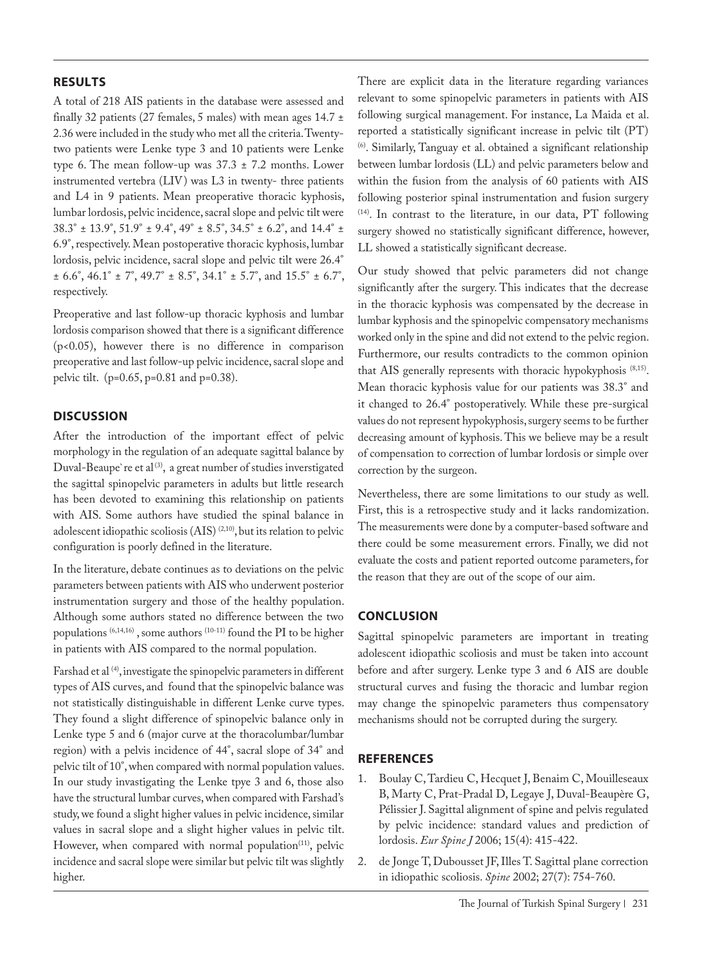# **RESULTS**

A total of 218 AIS patients in the database were assessed and finally 32 patients (27 females, 5 males) with mean ages  $14.7 \pm$ 2.36 were included in the study who met all the criteria. Twentytwo patients were Lenke type 3 and 10 patients were Lenke type 6. The mean follow-up was  $37.3 \pm 7.2$  months. Lower instrumented vertebra (LIV) was L3 in twenty- three patients and L4 in 9 patients. Mean preoperative thoracic kyphosis, lumbar lordosis, pelvic incidence, sacral slope and pelvic tilt were 38.3° ± 13.9°, 51.9° ± 9.4°, 49° ± 8.5°, 34.5° ± 6.2°, and 14.4° ± 6.9°, respectively. Mean postoperative thoracic kyphosis, lumbar lordosis, pelvic incidence, sacral slope and pelvic tilt were 26.4°  $\pm$  6.6°, 46.1°  $\pm$  7°, 49.7°  $\pm$  8.5°, 34.1°  $\pm$  5.7°, and 15.5°  $\pm$  6.7°, respectively.

Preoperative and last follow-up thoracic kyphosis and lumbar lordosis comparison showed that there is a significant difference (p<0.05), however there is no difference in comparison preoperative and last follow-up pelvic incidence, sacral slope and pelvic tilt. (p=0.65, p=0.81 and p=0.38).

# **DISCUSSION**

After the introduction of the important effect of pelvic morphology in the regulation of an adequate sagittal balance by Duval-Beaupe're et al<sup>(3)</sup>, a great number of studies inverstigated the sagittal spinopelvic parameters in adults but little research has been devoted to examining this relationship on patients with AIS. Some authors have studied the spinal balance in adolescent idiopathic scoliosis (AIS) (2,10), but its relation to pelvic configuration is poorly defined in the literature.

In the literature, debate continues as to deviations on the pelvic parameters between patients with AIS who underwent posterior instrumentation surgery and those of the healthy population. Although some authors stated no difference between the two populations (6,14,16) , some authors (10-11) found the PI to be higher in patients with AIS compared to the normal population.

Farshad et al<sup>(4)</sup>, investigate the spinopelvic parameters in different types of AIS curves, and found that the spinopelvic balance was not statistically distinguishable in different Lenke curve types. They found a slight difference of spinopelvic balance only in Lenke type 5 and 6 (major curve at the thoracolumbar/lumbar region) with a pelvis incidence of 44°, sacral slope of 34° and pelvic tilt of 10°, when compared with normal population values. In our study invastigating the Lenke tpye 3 and 6, those also have the structural lumbar curves, when compared with Farshad's study, we found a slight higher values in pelvic incidence, similar values in sacral slope and a slight higher values in pelvic tilt. However, when compared with normal population<sup>(11)</sup>, pelvic incidence and sacral slope were similar but pelvic tilt was slightly higher.

There are explicit data in the literature regarding variances relevant to some spinopelvic parameters in patients with AIS following surgical management. For instance, La Maida et al. reported a statistically significant increase in pelvic tilt (PT) (6). Similarly, Tanguay et al. obtained a significant relationship between lumbar lordosis (LL) and pelvic parameters below and within the fusion from the analysis of 60 patients with AIS following posterior spinal instrumentation and fusion surgery (14). In contrast to the literature, in our data, PT following surgery showed no statistically significant difference, however, LL showed a statistically significant decrease.

Our study showed that pelvic parameters did not change significantly after the surgery. This indicates that the decrease in the thoracic kyphosis was compensated by the decrease in lumbar kyphosis and the spinopelvic compensatory mechanisms worked only in the spine and did not extend to the pelvic region. Furthermore, our results contradicts to the common opinion that AIS generally represents with thoracic hypokyphosis (8,15). Mean thoracic kyphosis value for our patients was 38.3° and it changed to 26.4° postoperatively. While these pre-surgical values do not represent hypokyphosis, surgery seems to be further decreasing amount of kyphosis. This we believe may be a result of compensation to correction of lumbar lordosis or simple over correction by the surgeon.

Nevertheless, there are some limitations to our study as well. First, this is a retrospective study and it lacks randomization. The measurements were done by a computer-based software and there could be some measurement errors. Finally, we did not evaluate the costs and patient reported outcome parameters, for the reason that they are out of the scope of our aim.

# **CONCLUSION**

Sagittal spinopelvic parameters are important in treating adolescent idiopathic scoliosis and must be taken into account before and after surgery. Lenke type 3 and 6 AIS are double structural curves and fusing the thoracic and lumbar region may change the spinopelvic parameters thus compensatory mechanisms should not be corrupted during the surgery.

# **REFERENCES**

- 1. Boulay C, Tardieu C, Hecquet J, Benaim C, Mouilleseaux B, Marty C, Prat-Pradal D, Legaye J, Duval-Beaupère G, Pélissier J. Sagittal alignment of spine and pelvis regulated by pelvic incidence: standard values and prediction of lordosis. *Eur Spine J* 2006; 15(4): 415-422.
- 2. de Jonge T, Dubousset JF, Illes T. Sagittal plane correction in idiopathic scoliosis. *Spine* 2002; 27(7): 754-760.